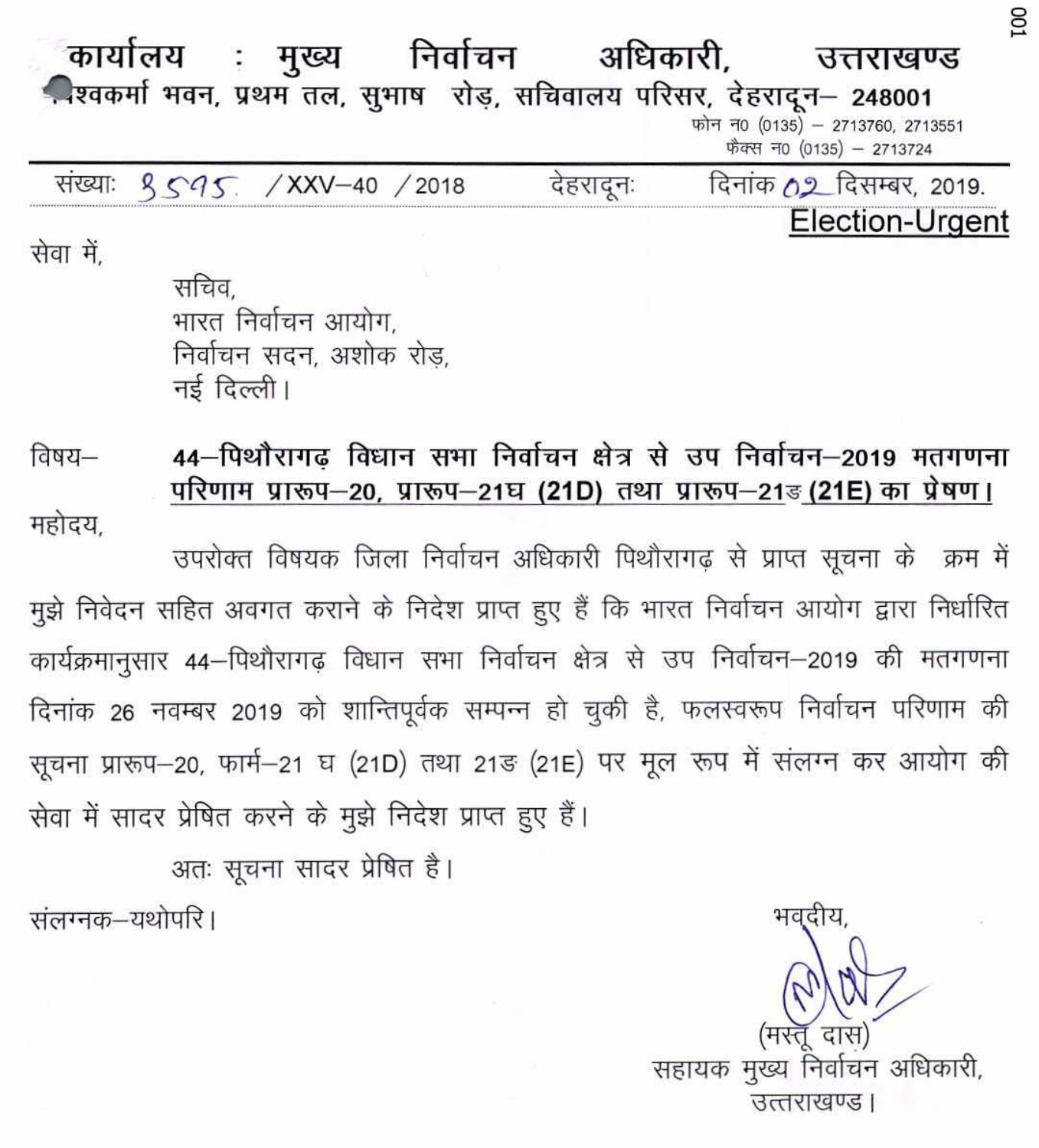| कार्यालय : मुख्य                      |  | निर्वाचन |           | अधिकारी, | उत्तराखण्ड                                                            |  |
|---------------------------------------|--|----------|-----------|----------|-----------------------------------------------------------------------|--|
|                                       |  |          |           |          | -रिवकर्मा भवन, प्रथम तल, सुभाष रोड़, सचिवालय परिसर, देहरादून - 248001 |  |
|                                       |  |          |           |          | फोन न0 (0135) - 2713760, 2713551<br>फैक्स न0 (0135) - 2713724         |  |
| संख्याः १ <i>५१५. / XXV-40 / 2018</i> |  |          | देहरादूनः |          | दिनांक 02 दिसम्बर, 2019.                                              |  |
|                                       |  |          |           |          | Election-Urgent                                                       |  |

सेवा में.

सचिव भारत निर्वाचन आयोग. निर्वाचन सदन, अशोक रोड, नई दिल्ली।

विषय— 44–पिथौरागढ विधान सभा निर्वाचन क्षेत्र से उप निर्वाचन–2019 मतगणना परिणाम प्रारूप–20, प्रारूप–21घ (21D) तथा प्रारूप–21ड (21E) का प्रेषण।

महोदय,

उपरोक्त विषयक जिला निर्वाचन अधिकारी पिथौरागढ़ से प्राप्त सूचना के क्रम में मुझे निवेदन सहित अवगत कराने के निदेश प्राप्त हुए हैं कि भारत निर्वाचन आयोग द्वारा निर्धारित कार्यक्रमानुसार 44-पिथौरागढ़ विधान सभा निर्वाचन क्षेत्र से उप निर्वाचन-2019 की मतगणना दिनांक 26 नवम्बर 2019 को शान्तिपूर्वक सम्पन्न हो चुकी है, फलस्वरूप निर्वाचन परिणाम की सूचना प्रारूप-20, फार्म-21 घ (21D) तथा 21ङ (21E) पर मूल रूप में संलग्न कर आयोग की सेवा में सादर प्रेषित करने के मुझे निदेश प्राप्त हुए हैं।

अतः सूचना सादर प्रेषित है।

संलग्नक–यथोपरि।

भवदीय सहायक मुख्य निर्वाचन अधिकारी, उत्तराखण्ड।

S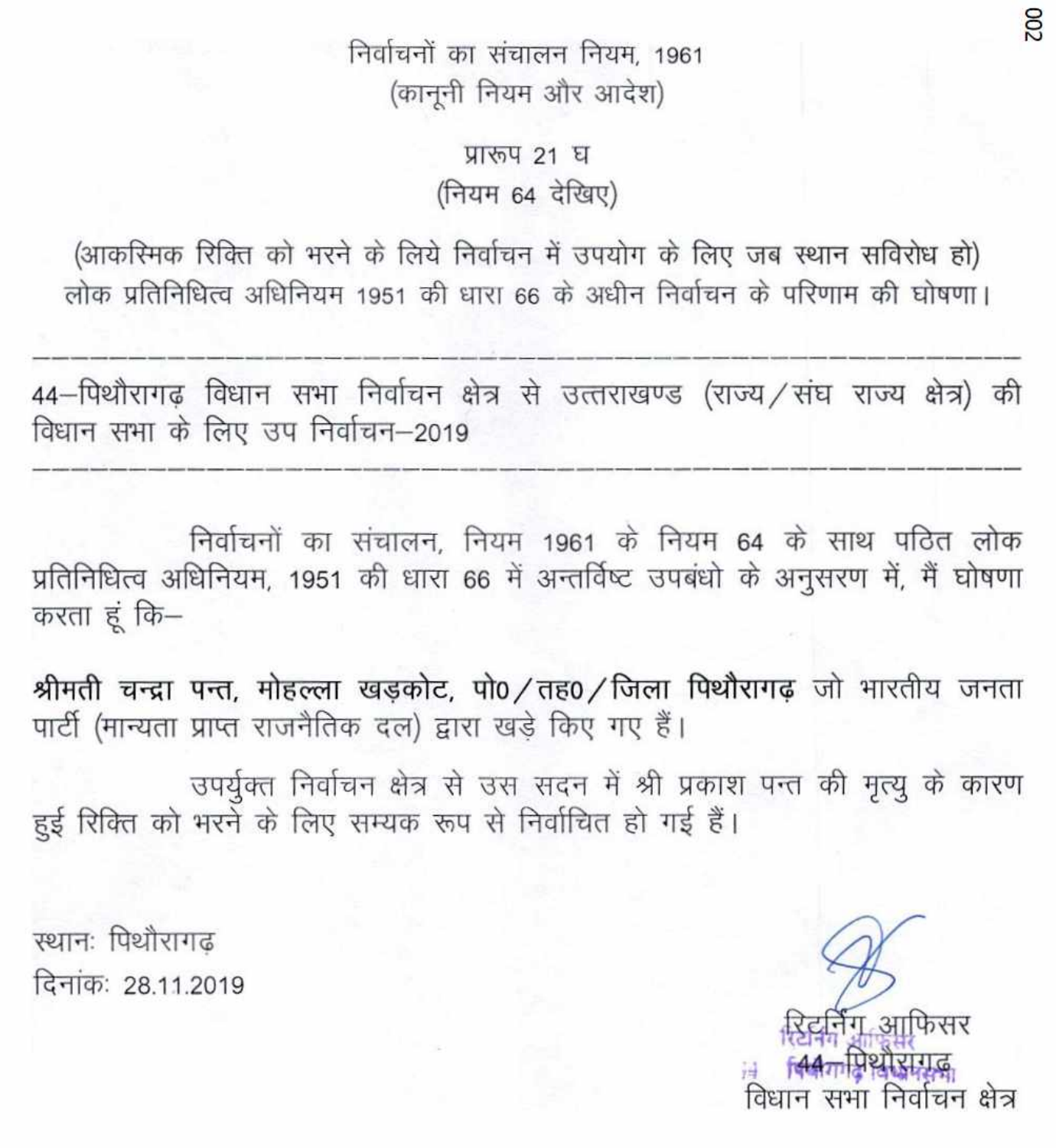निर्वाचनों का संचालन नियम, 1961 (कानूनी नियम और आदेश)

> प्रारूप 21 घ (नियम 64 देखिए)

(आकस्मिक रिक्ति को भरने के लिये निर्वाचन में उपयोग के लिए जब स्थान सविरोध हो) लोक प्रतिनिधित्व अधिनियम 1951 की धारा 66 के अधीन निर्वाचन के परिणाम की घोषणा।

44–पिथौरागढ़ विधान सभा निर्वाचन क्षेत्र से उत्तराखण्ड (राज्य/संघ राज्य क्षेत्र) की विधान सभा के लिए उप निर्वाचन–2019

निर्वाचनों का संचालन, नियम 1961 के नियम 64 के साथ पठित लोक प्रतिनिधित्व अधिनियम, 1951 की धारा 66 में अन्तर्विष्ट उपबंधो के अनुसरण में, मैं घोषणा करता हं कि–

श्रीमती चन्द्रा पन्त, मोहल्ला खड़कोट, पो0 / तह0 / जिला पिथौरागढ़ जो भारतीय जनता पार्टी (मान्यता प्राप्त राजनैतिक दल) द्वारा खड़े किए गए हैं।

उपर्युक्त निर्वाचन क्षेत्र से उस सदन में श्री प्रकाश पन्त की मृत्यू के कारण हुई रिक्ति को भरने के लिए सम्यक रूप से निर्वाचित हो गई हैं।

स्थानः पिथौरागढ दिनांकः 28.11.2019

रेटर्निंग आफिसर सभा निर्वाचन क्षेत्र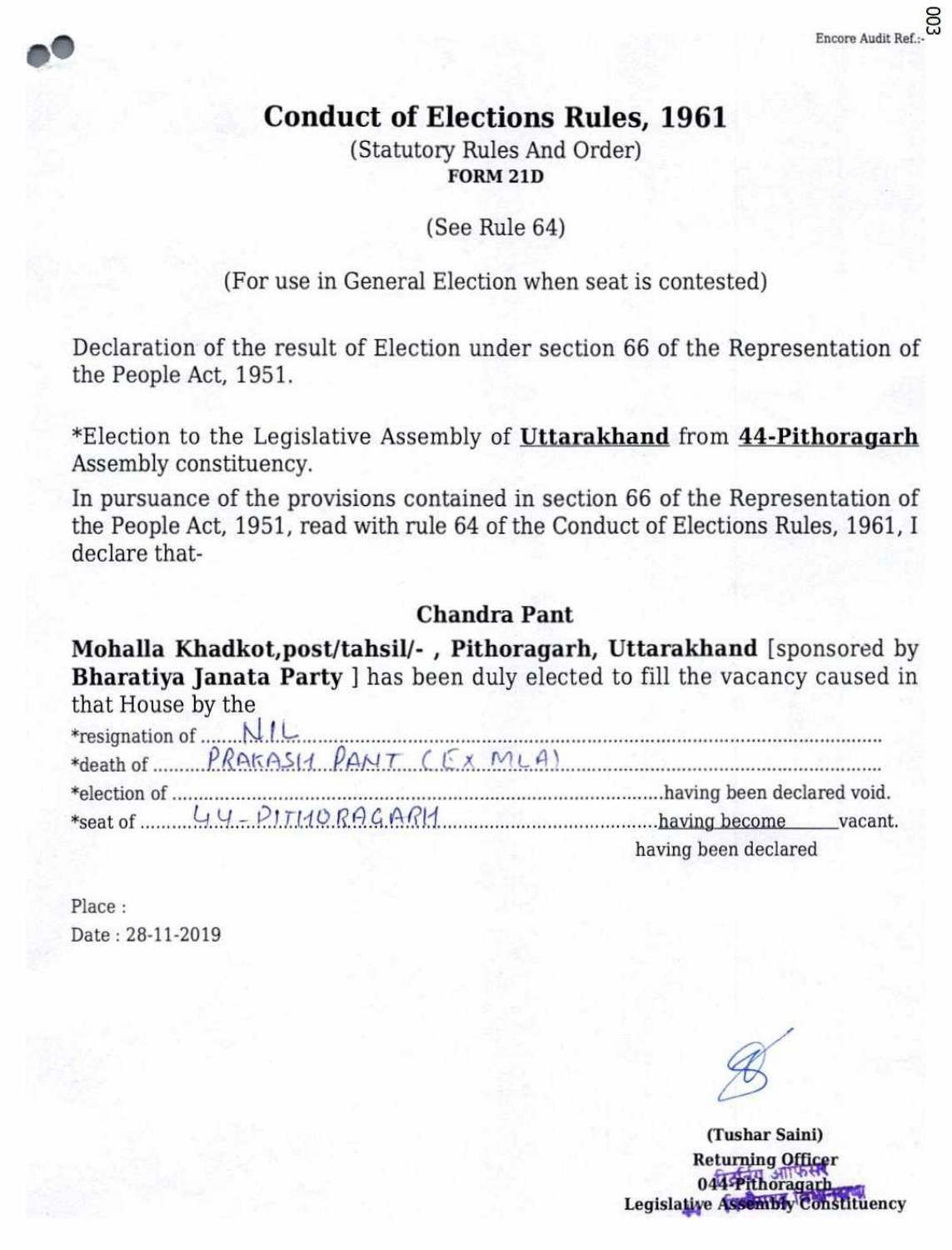# **Conduct of Elections Rules, 1961**

(Statutory Rules And Order) **FORM 21D** 

(See Rule 64)

# (For use in General Election when seat is contested)

Declaration of the result of Election under section 66 of the Representation of the People Act, 1951.

\*Election to the Legislative Assembly of Uttarakhand from 44-Pithoragarh Assembly constituency.

In pursuance of the provisions contained in section 66 of the Representation of the People Act, 1951, read with rule 64 of the Conduct of Elections Rules, 1961, I declare that-

## **Chandra Pant**

Mohalla Khadkot, post/tahsil/-, Pithoragarh, Uttarakhand [sponsored by Bharatiya Janata Party ] has been duly elected to fill the vacancy caused in that House by the

| *death of PRAKASIA PANT (EX MLA) |                      |
|----------------------------------|----------------------|
|                                  |                      |
|                                  |                      |
|                                  | having been declared |

Place: Date: 28-11-2019

(Tushar Saini) **Returning Officer** 044 Pithoragarh Legislative Assembly Constituency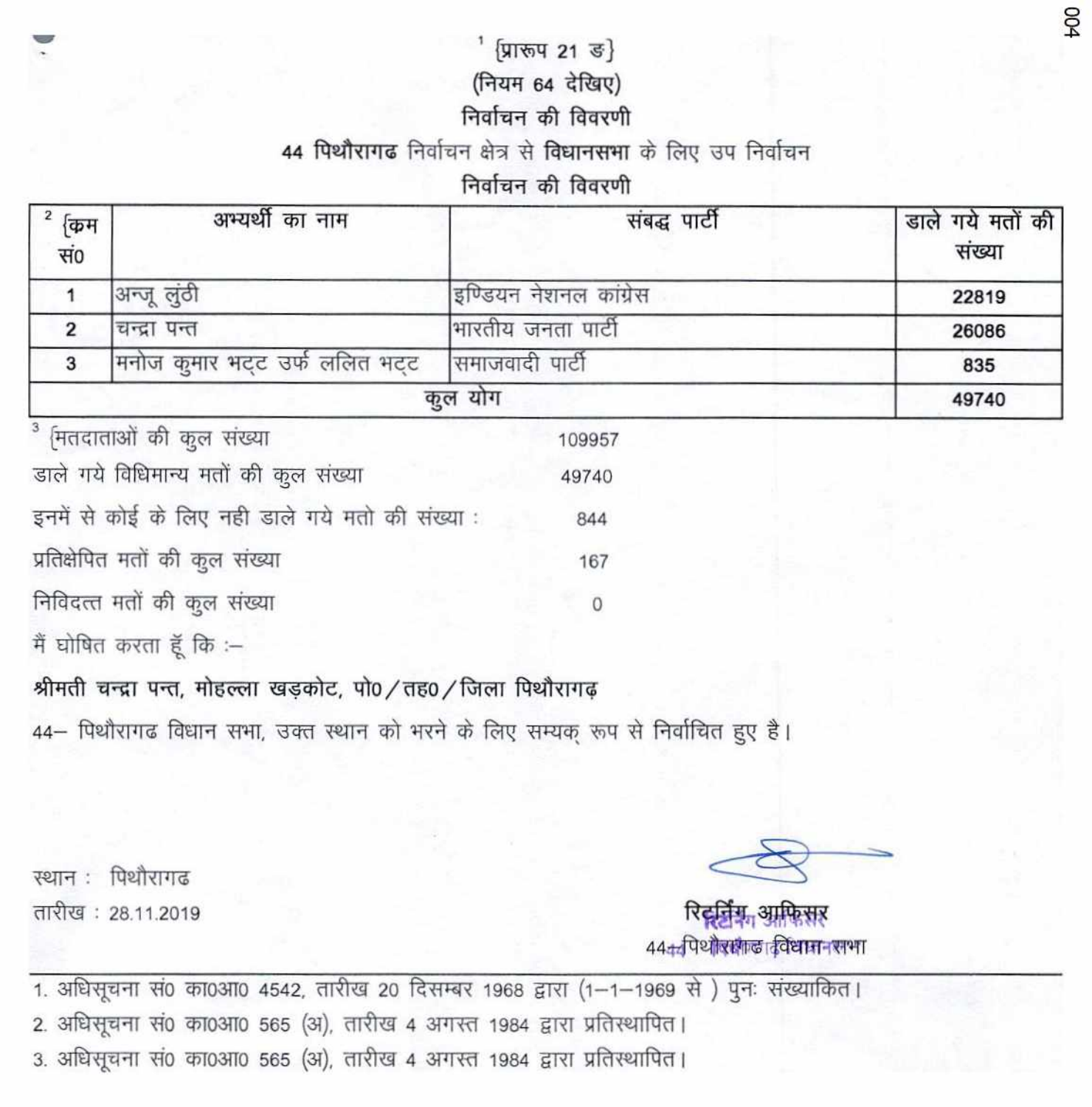#### प्रारूप 21 ड}

#### (नियम 64 देखिए)

#### निर्वाचन की विवरणी

#### 44 पिथौरागढ निर्वाचन क्षेत्र से विधानसभा के लिए उप निर्वाचन

### निर्वाचन की विवरणी

| कम<br>सं० | अभ्यर्थी का नाम                  | संबद्घ पार्टी          | डाले गये मतों की<br>संख्या |  |
|-----------|----------------------------------|------------------------|----------------------------|--|
|           | अन्जू लुंठी                      | इण्डियन नेशनल कांग्रेस | 22819                      |  |
| 2         | चन्द्रा पन्त                     | भारतीय जनता पारी       | 26086                      |  |
| 3         | मनोज कुमार भट्ट उर्फ ललित भट्ट   | सिमाजवादी पार्टी       | 835                        |  |
|           |                                  | कुल योग                | 49740                      |  |
|           | $3$ <i>ਸਿਰਟਾਰਾ</i> ਬੀ ਲੋਕ ਸ਼ਾਂਬਗ | A                      |                            |  |

| $1.11$ $1.11$ $1.11$ $1.11$ $1.11$ $1.11$ $1.11$ $1.11$ | 102201 |
|---------------------------------------------------------|--------|
| डाले गये विधिमान्य मतों की कुल संख्या                   | 49740  |
| इनमें से कोई के लिए नही डाले गये मतो की संख्या :        | 844    |
| प्रतिक्षेपित मतों की कुल संख्या                         | 167    |
| निविदत्त मतों की कूल संख्या                             |        |
|                                                         |        |

मैं घोषित करता हूँ कि :--

## श्रीमती चन्द्रा पन्त, मोहल्ला खड़कोट, पो0 / तह0 / जिला पिथौरागढ़

44– पिथौरागढ विधान सभा, उक्त स्थान को भरने के लिए सम्यक् रूप से निर्वाचित हुए है।

स्थान : पिथौरागढ तारीख: 28.11.2019

रिट्टर्निय, आफिसर 444 पिथोराक्षाल दिविधान स्वभा

1. अधिसूचना सं0 का0आ0 4542, तारीख 20 दिसम्बर 1968 द्वारा (1-1-1969 से) पुनः संख्याकित। 2. अधिसूचना सं0 का0आ0 565 (अ), तारीख 4 अगस्त 1984 द्वारा प्रतिस्थापित। 3. अधिसूचना सं0 का0आ0 565 (अ), तारीख 4 अगस्त 1984 द्वारा प्रतिस्थापित।